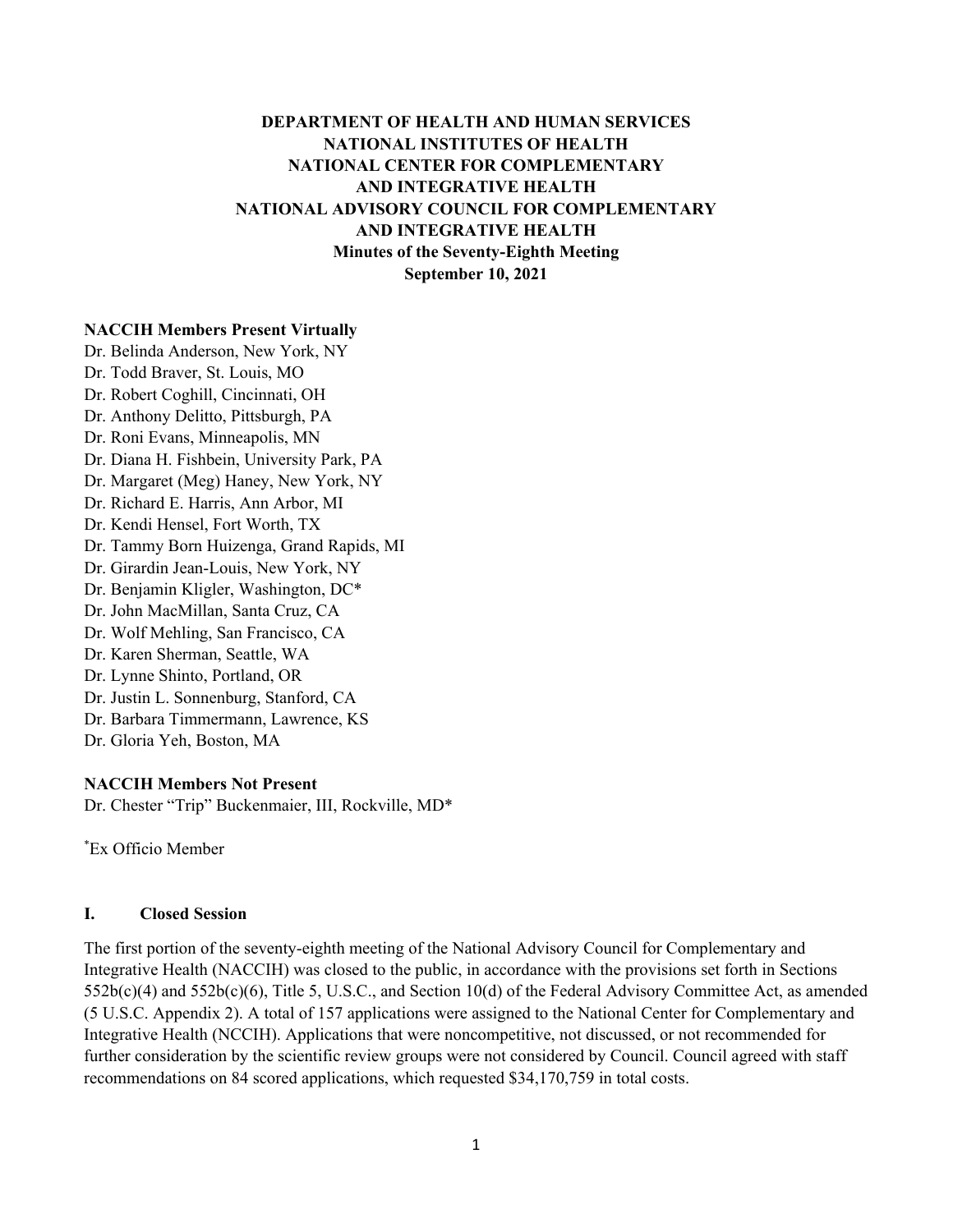# **DEPARTMENT OF HEALTH AND HUMAN SERVICES NATIONAL INSTITUTES OF HEALTH NATIONAL CENTER FOR COMPLEMENTARY AND INTEGRATIVE HEALTH NATIONAL ADVISORY COUNCIL FOR COMPLEMENTARY AND INTEGRATIVE HEALTH Minutes of the Seventy-Eighth Meeting September 10, 2021**

#### **NACCIH Members Present Virtually**

Dr. Belinda Anderson, New York, NY Dr. Todd Braver, St. Louis, MO Dr. Robert Coghill, Cincinnati, OH Dr. Anthony Delitto, Pittsburgh, PA Dr. Roni Evans, Minneapolis, MN Dr. Diana H. Fishbein, University Park, PA Dr. Margaret (Meg) Haney, New York, NY Dr. Richard E. Harris, Ann Arbor, MI Dr. Kendi Hensel, Fort Worth, TX Dr. Tammy Born Huizenga, Grand Rapids, MI Dr. Girardin Jean-Louis, New York, NY Dr. Benjamin Kligler, Washington, DC\* Dr. John MacMillan, Santa Cruz, CA Dr. Wolf Mehling, San Francisco, CA Dr. Karen Sherman, Seattle, WA Dr. Lynne Shinto, Portland, OR Dr. Justin L. Sonnenburg, Stanford, CA Dr. Barbara Timmermann, Lawrence, KS Dr. Gloria Yeh, Boston, MA

#### **NACCIH Members Not Present**

Dr. Chester "Trip" Buckenmaier, III, Rockville, MD\*

\* Ex Officio Member

#### **I. Closed Session**

The first portion of the seventy-eighth meeting of the National Advisory Council for Complementary and Integrative Health (NACCIH) was closed to the public, in accordance with the provisions set forth in Sections  $552b(c)(4)$  and  $552b(c)(6)$ , Title 5, U.S.C., and Section 10(d) of the Federal Advisory Committee Act, as amended (5 U.S.C. Appendix 2). A total of 157 applications were assigned to the National Center for Complementary and Integrative Health (NCCIH). Applications that were noncompetitive, not discussed, or not recommended for further consideration by the scientific review groups were not considered by Council. Council agreed with staff recommendations on 84 scored applications, which requested \$34,170,759 in total costs.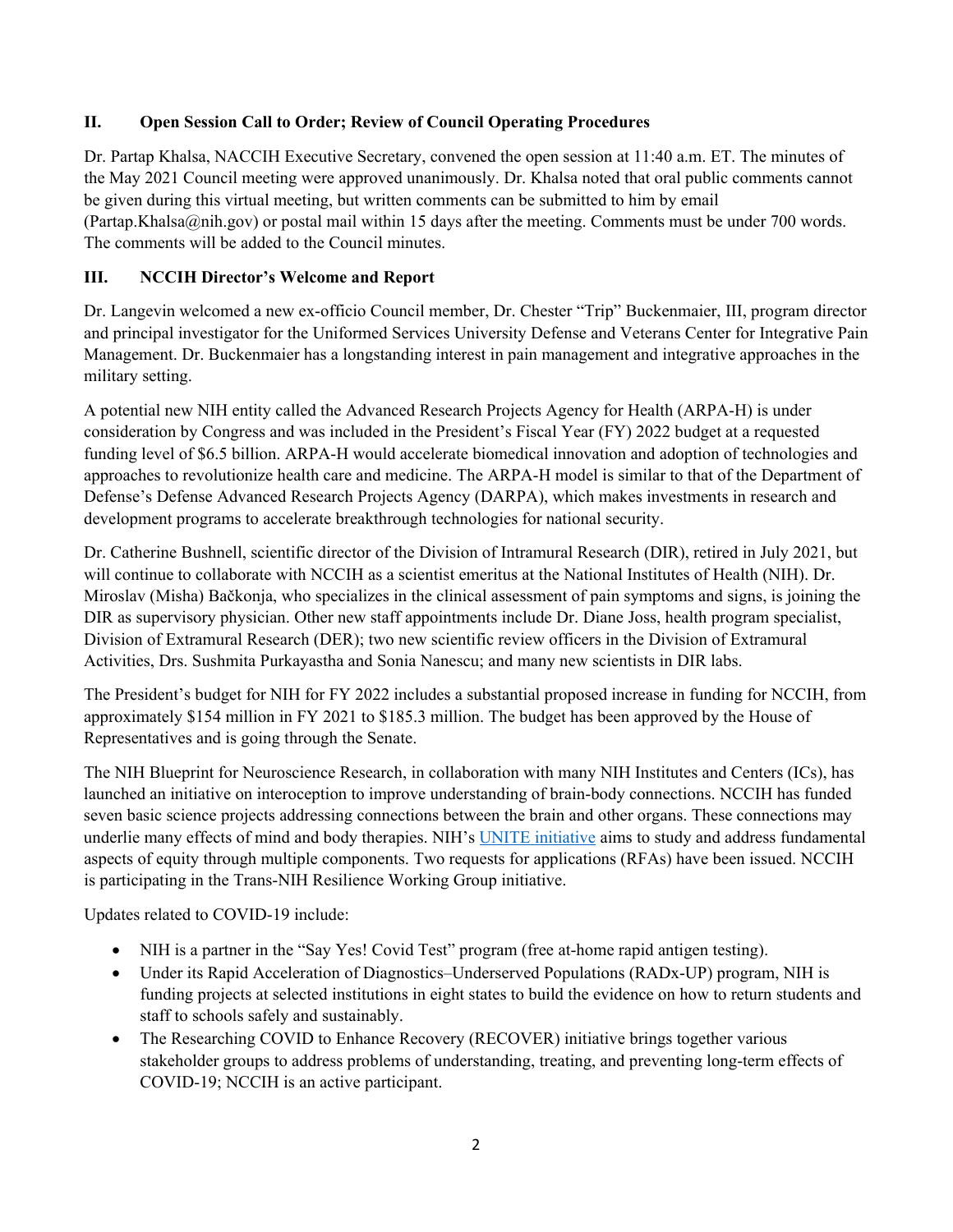### **II. Open Session Call to Order; Review of Council Operating Procedures**

Dr. Partap Khalsa, NACCIH Executive Secretary, convened the open session at 11:40 a.m. ET. The minutes of the May 2021 Council meeting were approved unanimously. Dr. Khalsa noted that oral public comments cannot be given during this virtual meeting, but written comments can be submitted to him by email (Partap.Khalsa@nih.gov) or postal mail within 15 days after the meeting. Comments must be under 700 words. The comments will be added to the Council minutes.

## **III. NCCIH Director's Welcome and Report**

Dr. Langevin welcomed a new ex-officio Council member, Dr. Chester "Trip" Buckenmaier, III, program director and principal investigator for the Uniformed Services University Defense and Veterans Center for Integrative Pain Management. Dr. Buckenmaier has a longstanding interest in pain management and integrative approaches in the military setting.

A potential new NIH entity called the Advanced Research Projects Agency for Health (ARPA-H) is under consideration by Congress and was included in the President's Fiscal Year (FY) 2022 budget at a requested funding level of \$6.5 billion. ARPA-H would accelerate biomedical innovation and adoption of technologies and approaches to revolutionize health care and medicine. The ARPA-H model is similar to that of the Department of Defense's Defense Advanced Research Projects Agency (DARPA), which makes investments in research and development programs to accelerate breakthrough technologies for national security.

Dr. Catherine Bushnell, scientific director of the Division of Intramural Research (DIR), retired in July 2021, but will continue to collaborate with NCCIH as a scientist emeritus at the National Institutes of Health (NIH). Dr. Miroslav (Misha) Bačkonja, who specializes in the clinical assessment of pain symptoms and signs, is joining the DIR as supervisory physician. Other new staff appointments include Dr. Diane Joss, health program specialist, Division of Extramural Research (DER); two new scientific review officers in the Division of Extramural Activities, Drs. Sushmita Purkayastha and Sonia Nanescu; and many new scientists in DIR labs.

The President's budget for NIH for FY 2022 includes a substantial proposed increase in funding for NCCIH, from approximately \$154 million in FY 2021 to \$185.3 million. The budget has been approved by the House of Representatives and is going through the Senate.

The NIH Blueprint for Neuroscience Research, in collaboration with many NIH Institutes and Centers (ICs), has launched an initiative on interoception to improve understanding of brain-body connections. NCCIH has funded seven basic science projects addressing connections between the brain and other organs. These connections may underlie many effects of mind and body therapies. NIH's [UNITE initiative](https://www.nih.gov/ending-structural-racism/unite) aims to study and address fundamental aspects of equity through multiple components. Two requests for applications (RFAs) have been issued. NCCIH is participating in the Trans-NIH Resilience Working Group initiative.

Updates related to COVID-19 include:

- NIH is a partner in the "Say Yes! Covid Test" program (free at-home rapid antigen testing).
- Under its Rapid Acceleration of Diagnostics–Underserved Populations (RADx-UP) program, NIH is funding projects at selected institutions in eight states to build the evidence on how to return students and staff to schools safely and sustainably.
- The Researching COVID to Enhance Recovery (RECOVER) initiative brings together various stakeholder groups to address problems of understanding, treating, and preventing long-term effects of COVID-19; NCCIH is an active participant.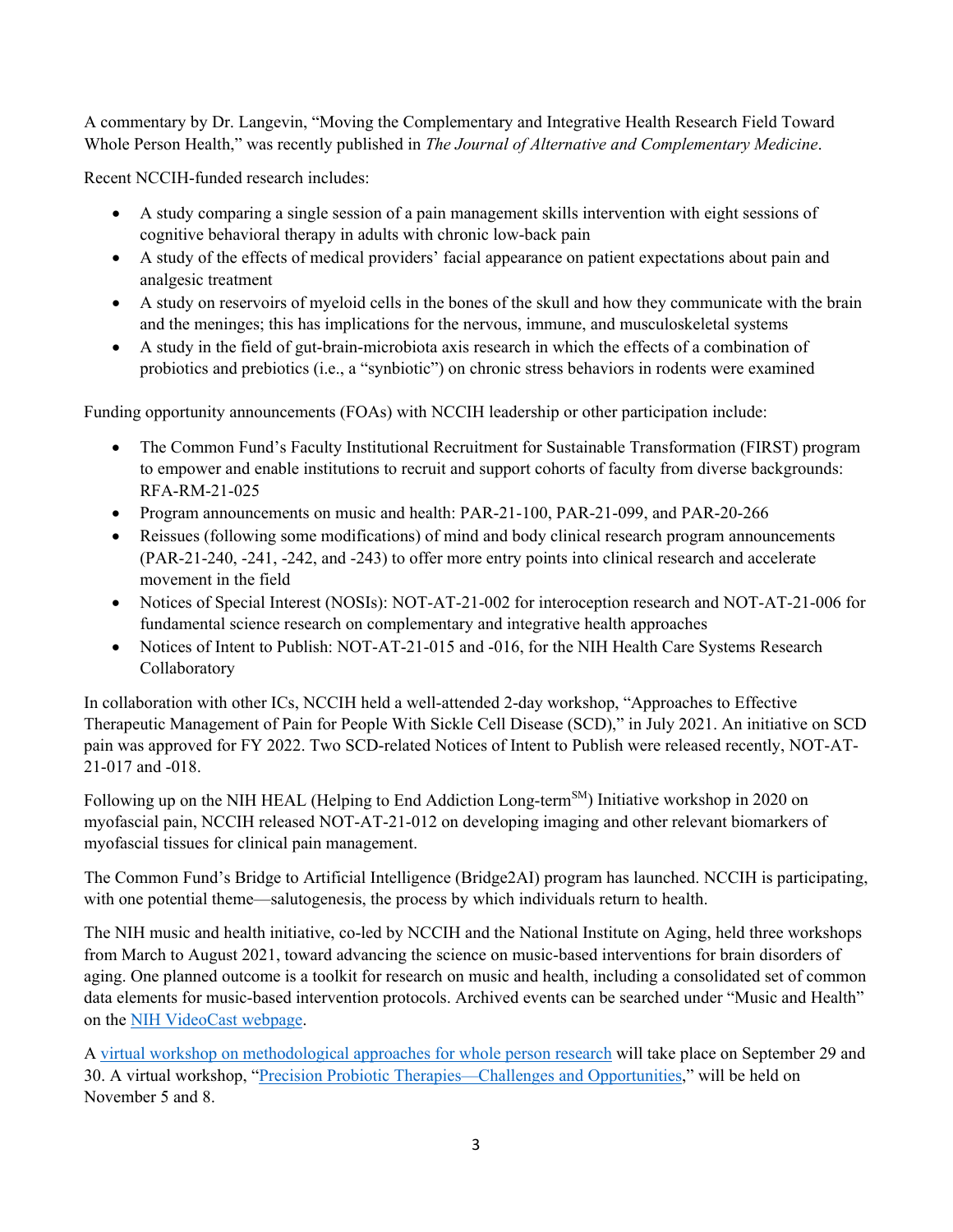A commentary by Dr. Langevin, "Moving the Complementary and Integrative Health Research Field Toward Whole Person Health," was recently published in *The Journal of Alternative and Complementary Medicine*.

Recent NCCIH-funded research includes:

- A study comparing a single session of a pain management skills intervention with eight sessions of cognitive behavioral therapy in adults with chronic low-back pain
- A study of the effects of medical providers' facial appearance on patient expectations about pain and analgesic treatment
- A study on reservoirs of myeloid cells in the bones of the skull and how they communicate with the brain and the meninges; this has implications for the nervous, immune, and musculoskeletal systems
- A study in the field of gut-brain-microbiota axis research in which the effects of a combination of probiotics and prebiotics (i.e., a "synbiotic") on chronic stress behaviors in rodents were examined

Funding opportunity announcements (FOAs) with NCCIH leadership or other participation include:

- The Common Fund's Faculty Institutional Recruitment for Sustainable Transformation (FIRST) program to empower and enable institutions to recruit and support cohorts of faculty from diverse backgrounds: RFA-RM-21-025
- Program announcements on music and health: PAR-21-100, PAR-21-099, and PAR-20-266
- Reissues (following some modifications) of mind and body clinical research program announcements (PAR-21-240, -241, -242, and -243) to offer more entry points into clinical research and accelerate movement in the field
- Notices of Special Interest (NOSIs): NOT-AT-21-002 for interoception research and NOT-AT-21-006 for fundamental science research on complementary and integrative health approaches
- Notices of Intent to Publish: NOT-AT-21-015 and -016, for the NIH Health Care Systems Research Collaboratory

In collaboration with other ICs, NCCIH held a well-attended 2-day workshop, "Approaches to Effective Therapeutic Management of Pain for People With Sickle Cell Disease (SCD)," in July 2021. An initiative on SCD pain was approved for FY 2022. Two SCD-related Notices of Intent to Publish were released recently, NOT-AT-21-017 and -018.

Following up on the NIH HEAL (Helping to End Addiction Long-term<sup>SM</sup>) Initiative workshop in 2020 on myofascial pain, NCCIH released NOT-AT-21-012 on developing imaging and other relevant biomarkers of myofascial tissues for clinical pain management.

The Common Fund's Bridge to Artificial Intelligence (Bridge2AI) program has launched. NCCIH is participating, with one potential theme—salutogenesis, the process by which individuals return to health.

The NIH music and health initiative, co-led by NCCIH and the National Institute on Aging, held three workshops from March to August 2021, toward advancing the science on music-based interventions for brain disorders of aging. One planned outcome is a toolkit for research on music and health, including a consolidated set of common data elements for music-based intervention protocols. Archived events can be searched under "Music and Health" on the [NIH VideoCast webpage.](https://videocast.nih.gov/)

A virtual workshop on [methodological approaches for whole person research](https://www.nccih.nih.gov/news/events/methodological-approaches-for-whole-person-research) will take place on September 29 and 30. A virtual workshop, ["Precision Probiotic Therapies—Challenges and Opportunities,](https://www.nccih.nih.gov/news/events/precision-probiotic-therapies-challenges-and-opportunities)" will be held on November 5 and 8.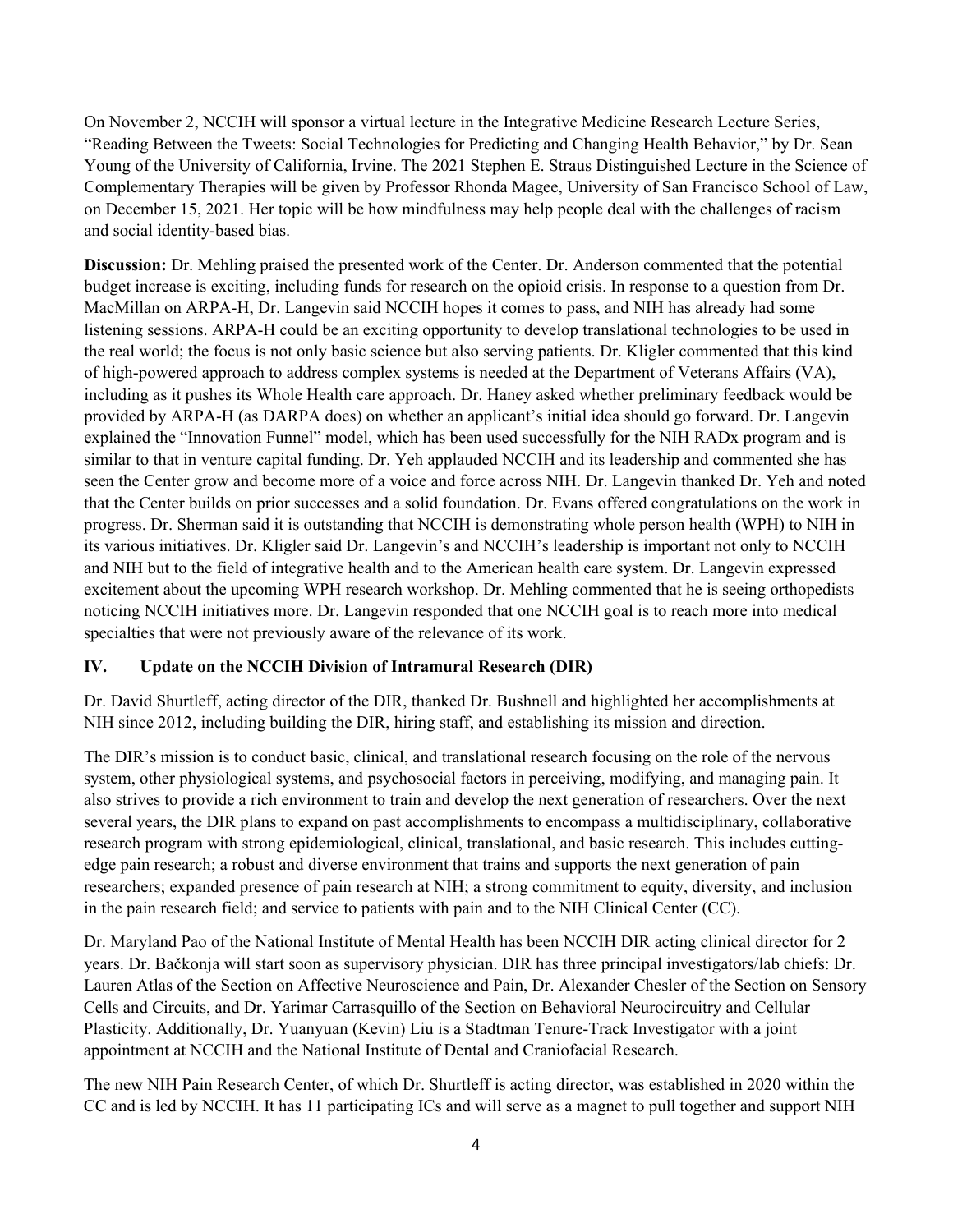On November 2, NCCIH will sponsor a virtual lecture in the Integrative Medicine Research Lecture Series, "Reading Between the Tweets: Social Technologies for Predicting and Changing Health Behavior," by Dr. Sean Young of the University of California, Irvine. The 2021 Stephen E. Straus Distinguished Lecture in the Science of Complementary Therapies will be given by Professor Rhonda Magee, University of San Francisco School of Law, on December 15, 2021. Her topic will be how mindfulness may help people deal with the challenges of racism and social identity-based bias.

**Discussion:** Dr. Mehling praised the presented work of the Center. Dr. Anderson commented that the potential budget increase is exciting, including funds for research on the opioid crisis. In response to a question from Dr. MacMillan on ARPA-H, Dr. Langevin said NCCIH hopes it comes to pass, and NIH has already had some listening sessions. ARPA-H could be an exciting opportunity to develop translational technologies to be used in the real world; the focus is not only basic science but also serving patients. Dr. Kligler commented that this kind of high-powered approach to address complex systems is needed at the Department of Veterans Affairs (VA), including as it pushes its Whole Health care approach. Dr. Haney asked whether preliminary feedback would be provided by ARPA-H (as DARPA does) on whether an applicant's initial idea should go forward. Dr. Langevin explained the "Innovation Funnel" model, which has been used successfully for the NIH RADx program and is similar to that in venture capital funding. Dr. Yeh applauded NCCIH and its leadership and commented she has seen the Center grow and become more of a voice and force across NIH. Dr. Langevin thanked Dr. Yeh and noted that the Center builds on prior successes and a solid foundation. Dr. Evans offered congratulations on the work in progress. Dr. Sherman said it is outstanding that NCCIH is demonstrating whole person health (WPH) to NIH in its various initiatives. Dr. Kligler said Dr. Langevin's and NCCIH's leadership is important not only to NCCIH and NIH but to the field of integrative health and to the American health care system. Dr. Langevin expressed excitement about the upcoming WPH research workshop. Dr. Mehling commented that he is seeing orthopedists noticing NCCIH initiatives more. Dr. Langevin responded that one NCCIH goal is to reach more into medical specialties that were not previously aware of the relevance of its work.

#### **IV. Update on the NCCIH Division of Intramural Research (DIR)**

Dr. David Shurtleff, acting director of the DIR, thanked Dr. Bushnell and highlighted her accomplishments at NIH since 2012, including building the DIR, hiring staff, and establishing its mission and direction.

The DIR's mission is to conduct basic, clinical, and translational research focusing on the role of the nervous system, other physiological systems, and psychosocial factors in perceiving, modifying, and managing pain. It also strives to provide a rich environment to train and develop the next generation of researchers. Over the next several years, the DIR plans to expand on past accomplishments to encompass a multidisciplinary, collaborative research program with strong epidemiological, clinical, translational, and basic research. This includes cuttingedge pain research; a robust and diverse environment that trains and supports the next generation of pain researchers; expanded presence of pain research at NIH; a strong commitment to equity, diversity, and inclusion in the pain research field; and service to patients with pain and to the NIH Clinical Center (CC).

Dr. Maryland Pao of the National Institute of Mental Health has been NCCIH DIR acting clinical director for 2 years. Dr. Bačkonja will start soon as supervisory physician. DIR has three principal investigators/lab chiefs: Dr. Lauren Atlas of the Section on Affective Neuroscience and Pain, Dr. Alexander Chesler of the Section on Sensory Cells and Circuits, and Dr. Yarimar Carrasquillo of the Section on Behavioral Neurocircuitry and Cellular Plasticity. Additionally, Dr. Yuanyuan (Kevin) Liu is a Stadtman Tenure-Track Investigator with a joint appointment at NCCIH and the National Institute of Dental and Craniofacial Research.

The new NIH Pain Research Center, of which Dr. Shurtleff is acting director, was established in 2020 within the CC and is led by NCCIH. It has 11 participating ICs and will serve as a magnet to pull together and support NIH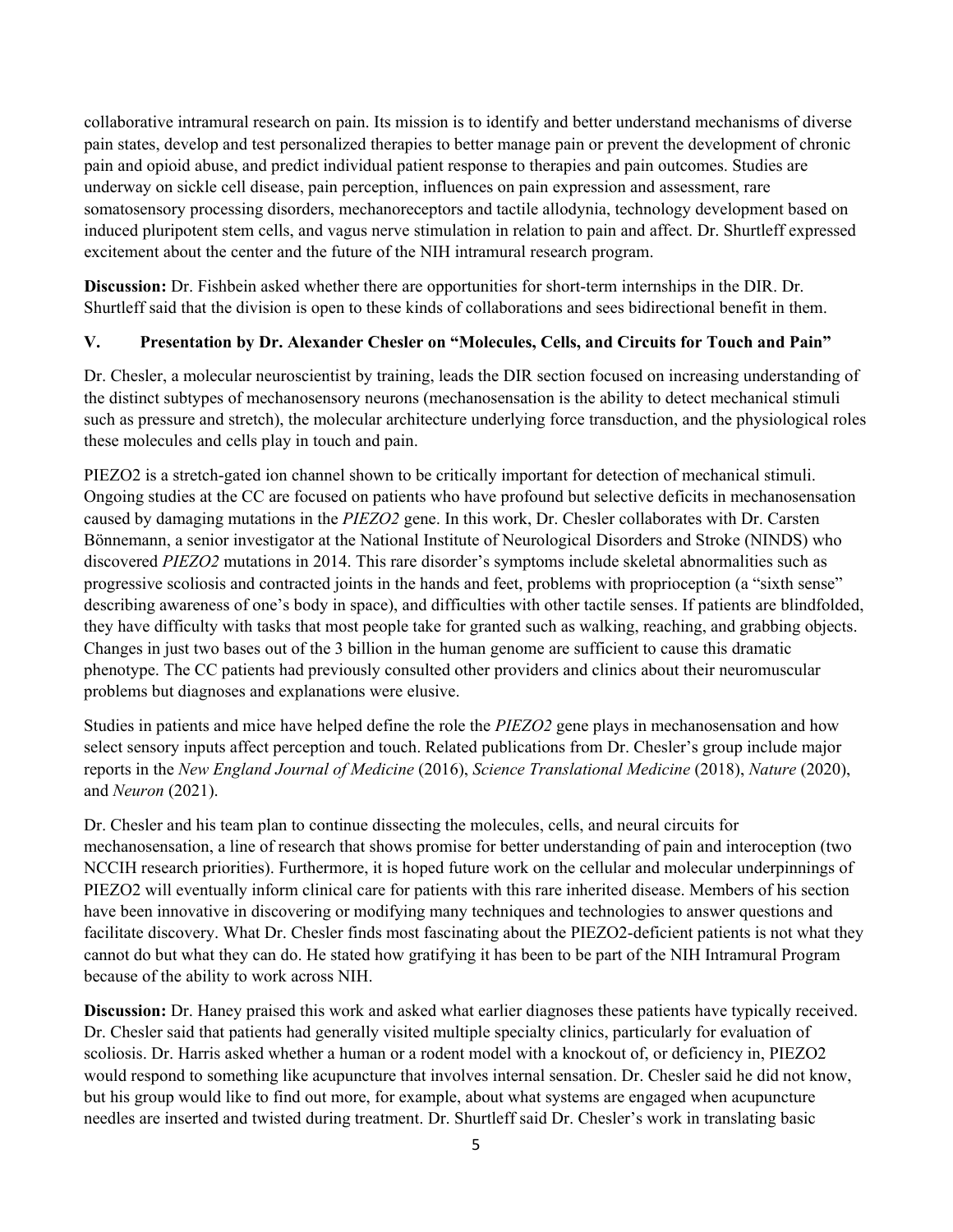collaborative intramural research on pain. Its mission is to identify and better understand mechanisms of diverse pain states, develop and test personalized therapies to better manage pain or prevent the development of chronic pain and opioid abuse, and predict individual patient response to therapies and pain outcomes. Studies are underway on sickle cell disease, pain perception, influences on pain expression and assessment, rare somatosensory processing disorders, mechanoreceptors and tactile allodynia, technology development based on induced pluripotent stem cells, and vagus nerve stimulation in relation to pain and affect. Dr. Shurtleff expressed excitement about the center and the future of the NIH intramural research program.

**Discussion:** Dr. Fishbein asked whether there are opportunities for short-term internships in the DIR. Dr. Shurtleff said that the division is open to these kinds of collaborations and sees bidirectional benefit in them.

#### **V. Presentation by Dr. Alexander Chesler on "Molecules, Cells, and Circuits for Touch and Pain"**

Dr. Chesler, a molecular neuroscientist by training, leads the DIR section focused on increasing understanding of the distinct subtypes of mechanosensory neurons (mechanosensation is the ability to detect mechanical stimuli such as pressure and stretch), the molecular architecture underlying force transduction, and the physiological roles these molecules and cells play in touch and pain.

PIEZO2 is a stretch-gated ion channel shown to be critically important for detection of mechanical stimuli. Ongoing studies at the CC are focused on patients who have profound but selective deficits in mechanosensation caused by damaging mutations in the *PIEZO2* gene. In this work, Dr. Chesler collaborates with Dr. Carsten Bönnemann, a senior investigator at the National Institute of Neurological Disorders and Stroke (NINDS) who discovered *PIEZO2* mutations in 2014. This rare disorder's symptoms include skeletal abnormalities such as progressive scoliosis and contracted joints in the hands and feet, problems with proprioception (a "sixth sense" describing awareness of one's body in space), and difficulties with other tactile senses. If patients are blindfolded, they have difficulty with tasks that most people take for granted such as walking, reaching, and grabbing objects. Changes in just two bases out of the 3 billion in the human genome are sufficient to cause this dramatic phenotype. The CC patients had previously consulted other providers and clinics about their neuromuscular problems but diagnoses and explanations were elusive.

Studies in patients and mice have helped define the role the *PIEZO2* gene plays in mechanosensation and how select sensory inputs affect perception and touch. Related publications from Dr. Chesler's group include major reports in the *New England Journal of Medicine* (2016), *Science Translational Medicine* (2018), *Nature* (2020), and *Neuron* (2021).

Dr. Chesler and his team plan to continue dissecting the molecules, cells, and neural circuits for mechanosensation, a line of research that shows promise for better understanding of pain and interoception (two NCCIH research priorities). Furthermore, it is hoped future work on the cellular and molecular underpinnings of PIEZO2 will eventually inform clinical care for patients with this rare inherited disease. Members of his section have been innovative in discovering or modifying many techniques and technologies to answer questions and facilitate discovery. What Dr. Chesler finds most fascinating about the PIEZO2-deficient patients is not what they cannot do but what they can do. He stated how gratifying it has been to be part of the NIH Intramural Program because of the ability to work across NIH.

**Discussion:** Dr. Haney praised this work and asked what earlier diagnoses these patients have typically received. Dr. Chesler said that patients had generally visited multiple specialty clinics, particularly for evaluation of scoliosis. Dr. Harris asked whether a human or a rodent model with a knockout of, or deficiency in, PIEZO2 would respond to something like acupuncture that involves internal sensation. Dr. Chesler said he did not know, but his group would like to find out more, for example, about what systems are engaged when acupuncture needles are inserted and twisted during treatment. Dr. Shurtleff said Dr. Chesler's work in translating basic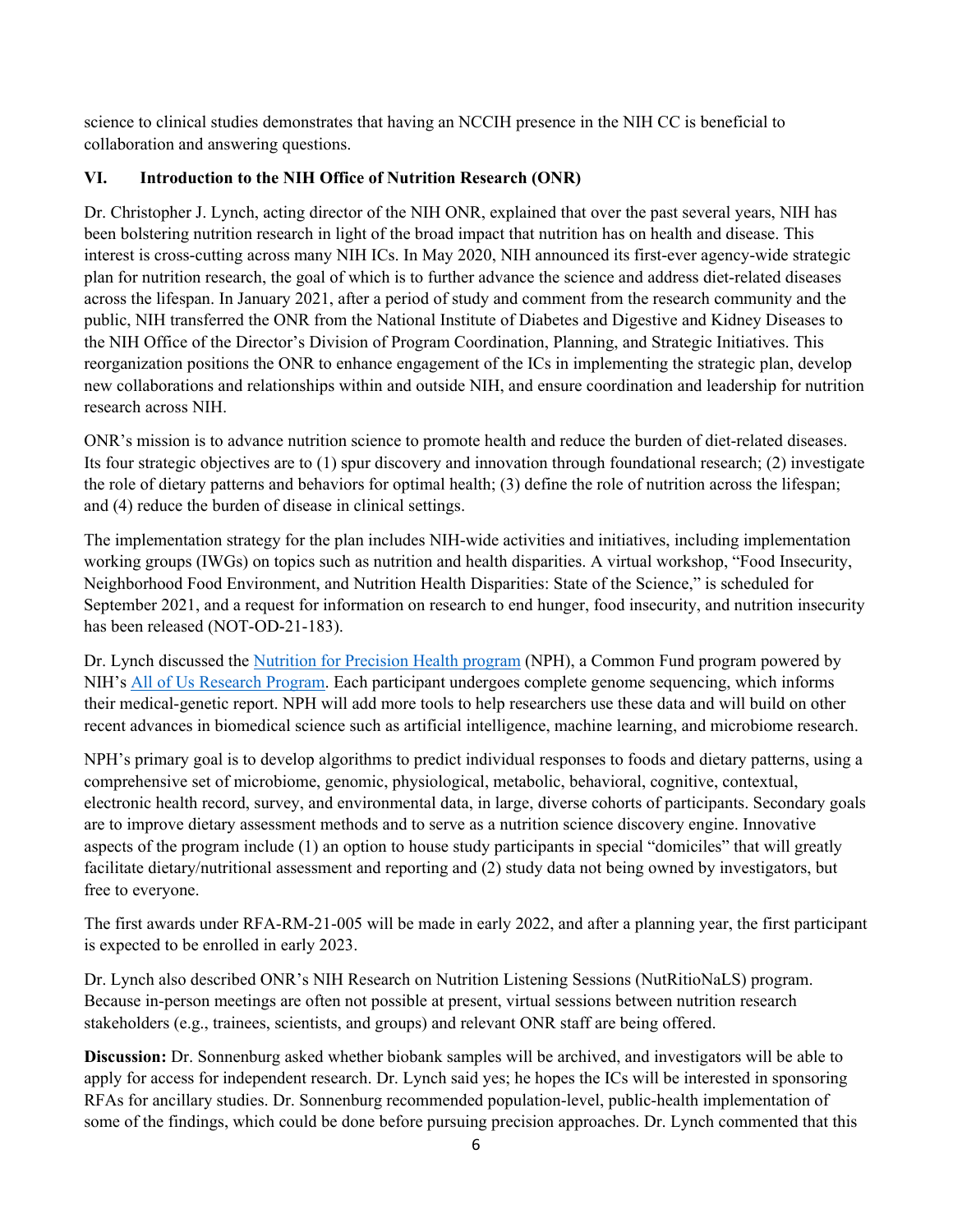science to clinical studies demonstrates that having an NCCIH presence in the NIH CC is beneficial to collaboration and answering questions.

### **VI. Introduction to the NIH Office of Nutrition Research (ONR)**

Dr. Christopher J. Lynch, acting director of the NIH ONR, explained that over the past several years, NIH has been bolstering nutrition research in light of the broad impact that nutrition has on health and disease. This interest is cross-cutting across many NIH ICs. In May 2020, NIH announced its first-ever agency-wide strategic plan for nutrition research, the goal of which is to further advance the science and address diet-related diseases across the lifespan. In January 2021, after a period of study and comment from the research community and the public, NIH transferred the ONR from the National Institute of Diabetes and Digestive and Kidney Diseases to the NIH Office of the Director's Division of Program Coordination, Planning, and Strategic Initiatives. This reorganization positions the ONR to enhance engagement of the ICs in implementing the strategic plan, develop new collaborations and relationships within and outside NIH, and ensure coordination and leadership for nutrition research across NIH.

ONR's mission is to advance nutrition science to promote health and reduce the burden of diet-related diseases. Its four strategic objectives are to (1) spur discovery and innovation through foundational research; (2) investigate the role of dietary patterns and behaviors for optimal health; (3) define the role of nutrition across the lifespan; and (4) reduce the burden of disease in clinical settings.

The implementation strategy for the plan includes NIH-wide activities and initiatives, including implementation working groups (IWGs) on topics such as nutrition and health disparities. A virtual workshop, "Food Insecurity, Neighborhood Food Environment, and Nutrition Health Disparities: State of the Science," is scheduled for September 2021, and a request for information on research to end hunger, food insecurity, and nutrition insecurity has been released (NOT-OD-21-183).

Dr. Lynch discussed the [Nutrition for Precision Health program](https://commonfund.nih.gov/nutritionforprecisionhealth) (NPH), a Common Fund program powered by NIH's All of Us [Research Program.](https://allofus.nih.gov/) Each participant undergoes complete genome sequencing, which informs their medical-genetic report. NPH will add more tools to help researchers use these data and will build on other recent advances in biomedical science such as artificial intelligence, machine learning, and microbiome research.

NPH's primary goal is to develop algorithms to predict individual responses to foods and dietary patterns, using a comprehensive set of microbiome, genomic, physiological, metabolic, behavioral, cognitive, contextual, electronic health record, survey, and environmental data, in large, diverse cohorts of participants. Secondary goals are to improve dietary assessment methods and to serve as a nutrition science discovery engine. Innovative aspects of the program include (1) an option to house study participants in special "domiciles" that will greatly facilitate dietary/nutritional assessment and reporting and (2) study data not being owned by investigators, but free to everyone.

The first awards under RFA-RM-21-005 will be made in early 2022, and after a planning year, the first participant is expected to be enrolled in early 2023.

Dr. Lynch also described ONR's NIH Research on Nutrition Listening Sessions (NutRitioNaLS) program. Because in-person meetings are often not possible at present, virtual sessions between nutrition research stakeholders (e.g., trainees, scientists, and groups) and relevant ONR staff are being offered.

**Discussion:** Dr. Sonnenburg asked whether biobank samples will be archived, and investigators will be able to apply for access for independent research. Dr. Lynch said yes; he hopes the ICs will be interested in sponsoring RFAs for ancillary studies. Dr. Sonnenburg recommended population-level, public-health implementation of some of the findings, which could be done before pursuing precision approaches. Dr. Lynch commented that this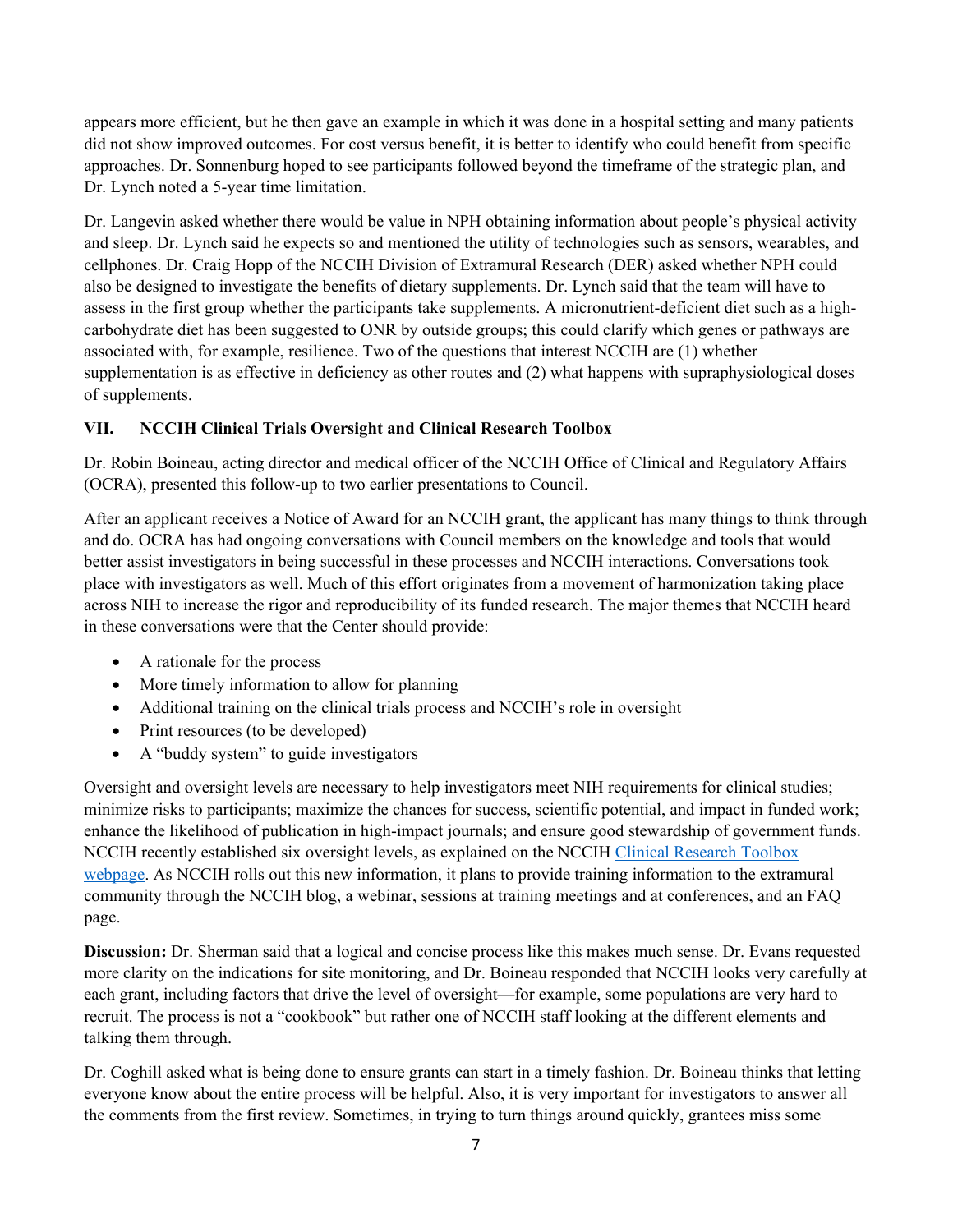appears more efficient, but he then gave an example in which it was done in a hospital setting and many patients did not show improved outcomes. For cost versus benefit, it is better to identify who could benefit from specific approaches. Dr. Sonnenburg hoped to see participants followed beyond the timeframe of the strategic plan, and Dr. Lynch noted a 5-year time limitation.

Dr. Langevin asked whether there would be value in NPH obtaining information about people's physical activity and sleep. Dr. Lynch said he expects so and mentioned the utility of technologies such as sensors, wearables, and cellphones. Dr. Craig Hopp of the NCCIH Division of Extramural Research (DER) asked whether NPH could also be designed to investigate the benefits of dietary supplements. Dr. Lynch said that the team will have to assess in the first group whether the participants take supplements. A micronutrient-deficient diet such as a highcarbohydrate diet has been suggested to ONR by outside groups; this could clarify which genes or pathways are associated with, for example, resilience. Two of the questions that interest NCCIH are (1) whether supplementation is as effective in deficiency as other routes and (2) what happens with supraphysiological doses of supplements.

# **VII. NCCIH Clinical Trials Oversight and Clinical Research Toolbox**

Dr. Robin Boineau, acting director and medical officer of the NCCIH Office of Clinical and Regulatory Affairs (OCRA), presented this follow-up to two earlier presentations to Council.

After an applicant receives a Notice of Award for an NCCIH grant, the applicant has many things to think through and do. OCRA has had ongoing conversations with Council members on the knowledge and tools that would better assist investigators in being successful in these processes and NCCIH interactions. Conversations took place with investigators as well. Much of this effort originates from a movement of harmonization taking place across NIH to increase the rigor and reproducibility of its funded research. The major themes that NCCIH heard in these conversations were that the Center should provide:

- A rationale for the process
- More timely information to allow for planning
- Additional training on the clinical trials process and NCCIH's role in oversight
- Print resources (to be developed)
- A "buddy system" to guide investigators

Oversight and oversight levels are necessary to help investigators meet NIH requirements for clinical studies; minimize risks to participants; maximize the chances for success, scientific potential, and impact in funded work; enhance the likelihood of publication in high-impact journals; and ensure good stewardship of government funds. NCCIH recently established six oversight levels, as explained on the NCCIH [Clinical Research Toolbox](https://www.nccih.nih.gov/grants/toolbox)  [webpage.](https://www.nccih.nih.gov/grants/toolbox) As NCCIH rolls out this new information, it plans to provide training information to the extramural community through the NCCIH blog, a webinar, sessions at training meetings and at conferences, and an FAQ page.

**Discussion:** Dr. Sherman said that a logical and concise process like this makes much sense. Dr. Evans requested more clarity on the indications for site monitoring, and Dr. Boineau responded that NCCIH looks very carefully at each grant, including factors that drive the level of oversight—for example, some populations are very hard to recruit. The process is not a "cookbook" but rather one of NCCIH staff looking at the different elements and talking them through.

Dr. Coghill asked what is being done to ensure grants can start in a timely fashion. Dr. Boineau thinks that letting everyone know about the entire process will be helpful. Also, it is very important for investigators to answer all the comments from the first review. Sometimes, in trying to turn things around quickly, grantees miss some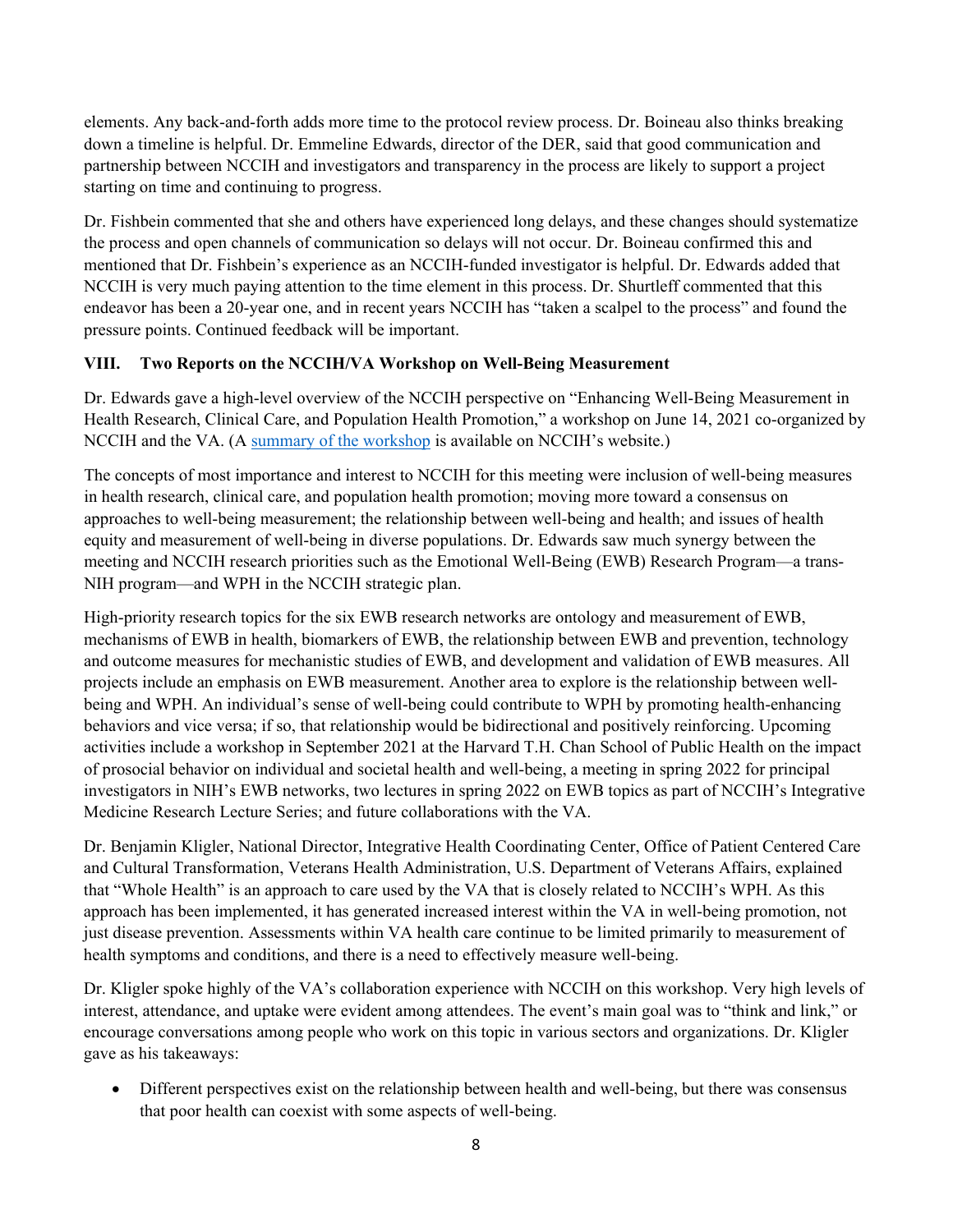elements. Any back-and-forth adds more time to the protocol review process. Dr. Boineau also thinks breaking down a timeline is helpful. Dr. Emmeline Edwards, director of the DER, said that good communication and partnership between NCCIH and investigators and transparency in the process are likely to support a project starting on time and continuing to progress.

Dr. Fishbein commented that she and others have experienced long delays, and these changes should systematize the process and open channels of communication so delays will not occur. Dr. Boineau confirmed this and mentioned that Dr. Fishbein's experience as an NCCIH-funded investigator is helpful. Dr. Edwards added that NCCIH is very much paying attention to the time element in this process. Dr. Shurtleff commented that this endeavor has been a 20-year one, and in recent years NCCIH has "taken a scalpel to the process" and found the pressure points. Continued feedback will be important.

## **VIII. Two Reports on the NCCIH/VA Workshop on Well-Being Measurement**

Dr. Edwards gave a high-level overview of the NCCIH perspective on "Enhancing Well-Being Measurement in Health Research, Clinical Care, and Population Health Promotion," a workshop on June 14, 2021 co-organized by NCCIH and the VA. (A summary [of the workshop](https://files.nccih.nih.gov/enhancing-well-being-measurement-meeting-june-2021-final-report.pdf) is available on NCCIH's website.)

The concepts of most importance and interest to NCCIH for this meeting were inclusion of well-being measures in health research, clinical care, and population health promotion; moving more toward a consensus on approaches to well-being measurement; the relationship between well-being and health; and issues of health equity and measurement of well-being in diverse populations. Dr. Edwards saw much synergy between the meeting and NCCIH research priorities such as the Emotional Well-Being (EWB) Research Program—a trans-NIH program—and WPH in the NCCIH strategic plan.

High-priority research topics for the six EWB research networks are ontology and measurement of EWB, mechanisms of EWB in health, biomarkers of EWB, the relationship between EWB and prevention, technology and outcome measures for mechanistic studies of EWB, and development and validation of EWB measures. All projects include an emphasis on EWB measurement. Another area to explore is the relationship between wellbeing and WPH. An individual's sense of well-being could contribute to WPH by promoting health-enhancing behaviors and vice versa; if so, that relationship would be bidirectional and positively reinforcing. Upcoming activities include a workshop in September 2021 at the Harvard T.H. Chan School of Public Health on the impact of prosocial behavior on individual and societal health and well-being, a meeting in spring 2022 for principal investigators in NIH's EWB networks, two lectures in spring 2022 on EWB topics as part of NCCIH's Integrative Medicine Research Lecture Series; and future collaborations with the VA.

Dr. Benjamin Kligler, National Director, Integrative Health Coordinating Center, Office of Patient Centered Care and Cultural Transformation, Veterans Health Administration, U.S. Department of Veterans Affairs, explained that "Whole Health" is an approach to care used by the VA that is closely related to NCCIH's WPH. As this approach has been implemented, it has generated increased interest within the VA in well-being promotion, not just disease prevention. Assessments within VA health care continue to be limited primarily to measurement of health symptoms and conditions, and there is a need to effectively measure well-being.

Dr. Kligler spoke highly of the VA's collaboration experience with NCCIH on this workshop. Very high levels of interest, attendance, and uptake were evident among attendees. The event's main goal was to "think and link," or encourage conversations among people who work on this topic in various sectors and organizations. Dr. Kligler gave as his takeaways:

• Different perspectives exist on the relationship between health and well-being, but there was consensus that poor health can coexist with some aspects of well-being.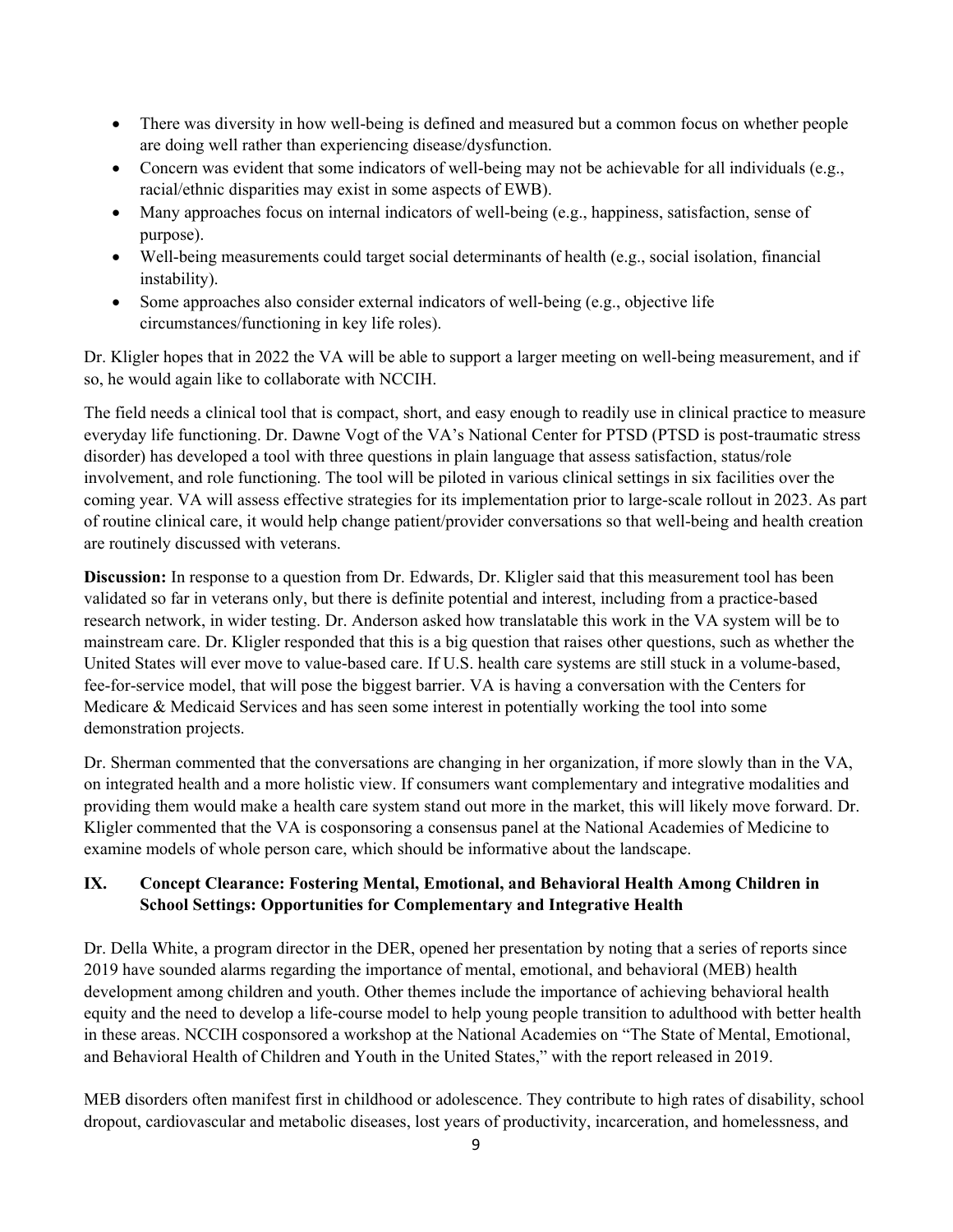- There was diversity in how well-being is defined and measured but a common focus on whether people are doing well rather than experiencing disease/dysfunction.
- Concern was evident that some indicators of well-being may not be achievable for all individuals (e.g., racial/ethnic disparities may exist in some aspects of EWB).
- Many approaches focus on internal indicators of well-being (e.g., happiness, satisfaction, sense of purpose).
- Well-being measurements could target social determinants of health (e.g., social isolation, financial instability).
- Some approaches also consider external indicators of well-being (e.g., objective life circumstances/functioning in key life roles).

Dr. Kligler hopes that in 2022 the VA will be able to support a larger meeting on well-being measurement, and if so, he would again like to collaborate with NCCIH.

The field needs a clinical tool that is compact, short, and easy enough to readily use in clinical practice to measure everyday life functioning. Dr. Dawne Vogt of the VA's National Center for PTSD (PTSD is post-traumatic stress disorder) has developed a tool with three questions in plain language that assess satisfaction, status/role involvement, and role functioning. The tool will be piloted in various clinical settings in six facilities over the coming year. VA will assess effective strategies for its implementation prior to large-scale rollout in 2023. As part of routine clinical care, it would help change patient/provider conversations so that well-being and health creation are routinely discussed with veterans.

**Discussion:** In response to a question from Dr. Edwards, Dr. Kligler said that this measurement tool has been validated so far in veterans only, but there is definite potential and interest, including from a practice-based research network, in wider testing. Dr. Anderson asked how translatable this work in the VA system will be to mainstream care. Dr. Kligler responded that this is a big question that raises other questions, such as whether the United States will ever move to value-based care. If U.S. health care systems are still stuck in a volume-based, fee-for-service model, that will pose the biggest barrier. VA is having a conversation with the Centers for Medicare & Medicaid Services and has seen some interest in potentially working the tool into some demonstration projects.

Dr. Sherman commented that the conversations are changing in her organization, if more slowly than in the VA, on integrated health and a more holistic view. If consumers want complementary and integrative modalities and providing them would make a health care system stand out more in the market, this will likely move forward. Dr. Kligler commented that the VA is cosponsoring a consensus panel at the National Academies of Medicine to examine models of whole person care, which should be informative about the landscape.

## **IX. Concept Clearance: Fostering Mental, Emotional, and Behavioral Health Among Children in School Settings: Opportunities for Complementary and Integrative Health**

Dr. Della White, a program director in the DER, opened her presentation by noting that a series of reports since 2019 have sounded alarms regarding the importance of mental, emotional, and behavioral (MEB) health development among children and youth. Other themes include the importance of achieving behavioral health equity and the need to develop a life-course model to help young people transition to adulthood with better health in these areas. NCCIH cosponsored a workshop at the National Academies on "The State of Mental, Emotional, and Behavioral Health of Children and Youth in the United States," with the report released in 2019.

MEB disorders often manifest first in childhood or adolescence. They contribute to high rates of disability, school dropout, cardiovascular and metabolic diseases, lost years of productivity, incarceration, and homelessness, and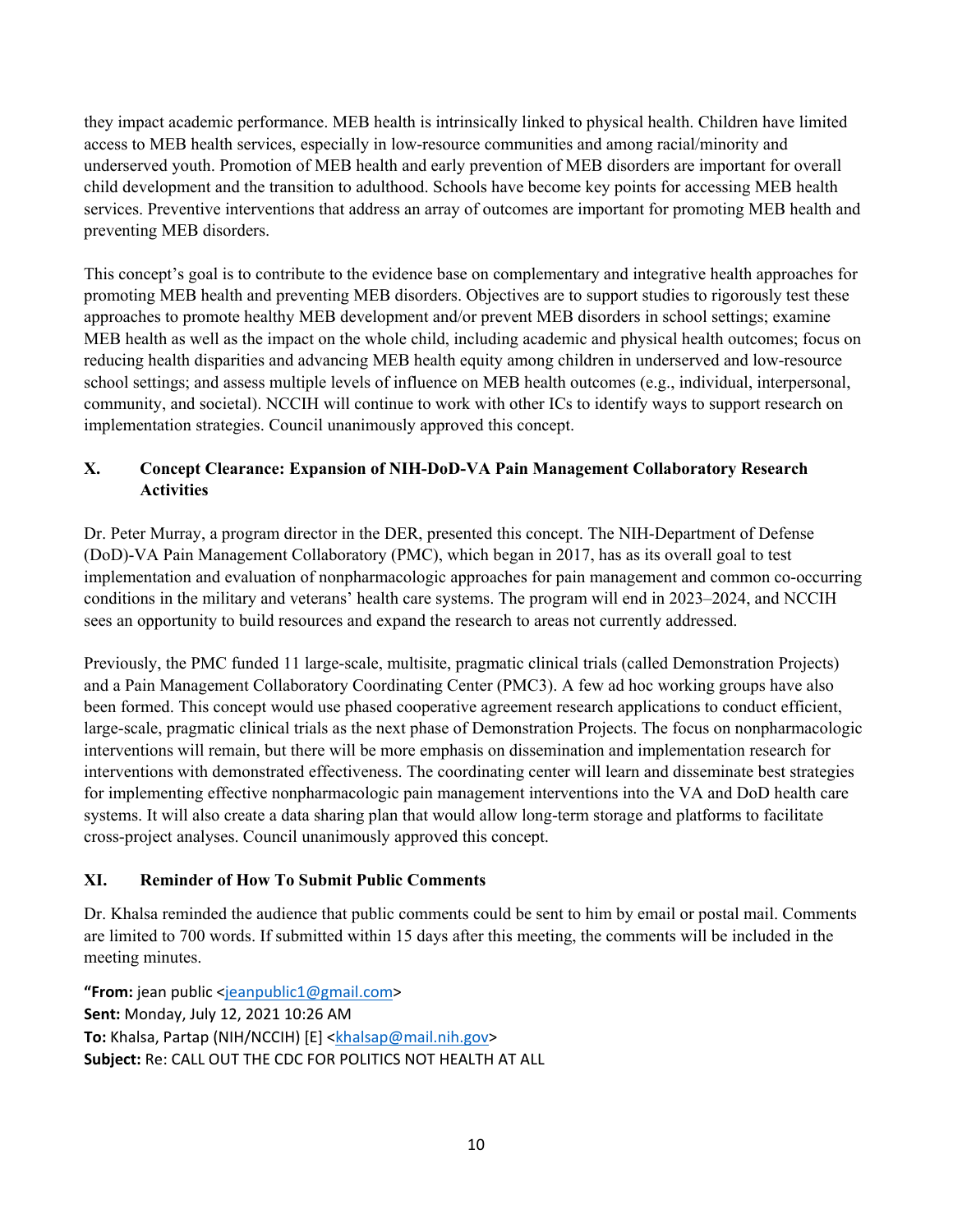they impact academic performance. MEB health is intrinsically linked to physical health. Children have limited access to MEB health services, especially in low-resource communities and among racial/minority and underserved youth. Promotion of MEB health and early prevention of MEB disorders are important for overall child development and the transition to adulthood. Schools have become key points for accessing MEB health services. Preventive interventions that address an array of outcomes are important for promoting MEB health and preventing MEB disorders.

This concept's goal is to contribute to the evidence base on complementary and integrative health approaches for promoting MEB health and preventing MEB disorders. Objectives are to support studies to rigorously test these approaches to promote healthy MEB development and/or prevent MEB disorders in school settings; examine MEB health as well as the impact on the whole child, including academic and physical health outcomes; focus on reducing health disparities and advancing MEB health equity among children in underserved and low-resource school settings; and assess multiple levels of influence on MEB health outcomes (e.g., individual, interpersonal, community, and societal). NCCIH will continue to work with other ICs to identify ways to support research on implementation strategies. Council unanimously approved this concept.

## **X. Concept Clearance: Expansion of NIH-DoD-VA Pain Management Collaboratory Research Activities**

Dr. Peter Murray, a program director in the DER, presented this concept. The NIH-Department of Defense (DoD)-VA Pain Management Collaboratory (PMC), which began in 2017, has as its overall goal to test implementation and evaluation of nonpharmacologic approaches for pain management and common co-occurring conditions in the military and veterans' health care systems. The program will end in 2023–2024, and NCCIH sees an opportunity to build resources and expand the research to areas not currently addressed.

Previously, the PMC funded 11 large-scale, multisite, pragmatic clinical trials (called Demonstration Projects) and a Pain Management Collaboratory Coordinating Center (PMC3). A few ad hoc working groups have also been formed. This concept would use phased cooperative agreement research applications to conduct efficient, large-scale, pragmatic clinical trials as the next phase of Demonstration Projects. The focus on nonpharmacologic interventions will remain, but there will be more emphasis on dissemination and implementation research for interventions with demonstrated effectiveness. The coordinating center will learn and disseminate best strategies for implementing effective nonpharmacologic pain management interventions into the VA and DoD health care systems. It will also create a data sharing plan that would allow long-term storage and platforms to facilitate cross-project analyses. Council unanimously approved this concept.

#### **XI. Reminder of How To Submit Public Comments**

Dr. Khalsa reminded the audience that public comments could be sent to him by email or postal mail. Comments are limited to 700 words. If submitted within 15 days after this meeting, the comments will be included in the meeting minutes.

**"From:** jean public [<jeanpublic1@gmail.com>](mailto:jeanpublic1@gmail.com) **Sent:** Monday, July 12, 2021 10:26 AM **To:** Khalsa, Partap (NIH/NCCIH) [E] [<khalsap@mail.nih.gov>](mailto:khalsap@mail.nih.gov) **Subject:** Re: CALL OUT THE CDC FOR POLITICS NOT HEALTH AT ALL